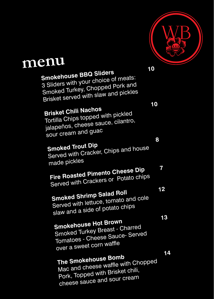

## **menu**

| 10<br><b>Smokehouse BBQ Sliders</b><br>3 Sliders with your choice of meats:<br>Smoked Turkey, Chopped Pork and<br>Brisket served with slaw and pickles |          |
|--------------------------------------------------------------------------------------------------------------------------------------------------------|----------|
| 10<br><b>Brisket Chili Nachos</b><br>Tortilla Chips topped with pickled<br>jalapeños, cheese sauce, cilantro,<br>sour cream and guac                   |          |
| 8<br><b>Smoked Trout Dip</b><br>Served with Cracker, Chips and house<br>made pickles                                                                   | 7        |
| <b>Fire Roasted Pimento Cheese Dip</b><br>Served with Crackers or Potato chips                                                                         |          |
| <b>Smoked Shrimp Salad Roll</b><br>Served with lettuce, tomato and cole<br>slaw and a side of potato chips                                             | 12<br>13 |
| <b>Smokehouse Hot Brown</b><br>Smoked Turkey Breast - Charred<br>Tomatoes - Cheese Sauce- Served<br>over a sweet corn waffle                           |          |
| The Smokehouse Bomb<br>Mac and cheese waffle with Chopped<br>Pork, Topped with Brisket chili,<br>cheese sauce and sour cream                           | 14       |